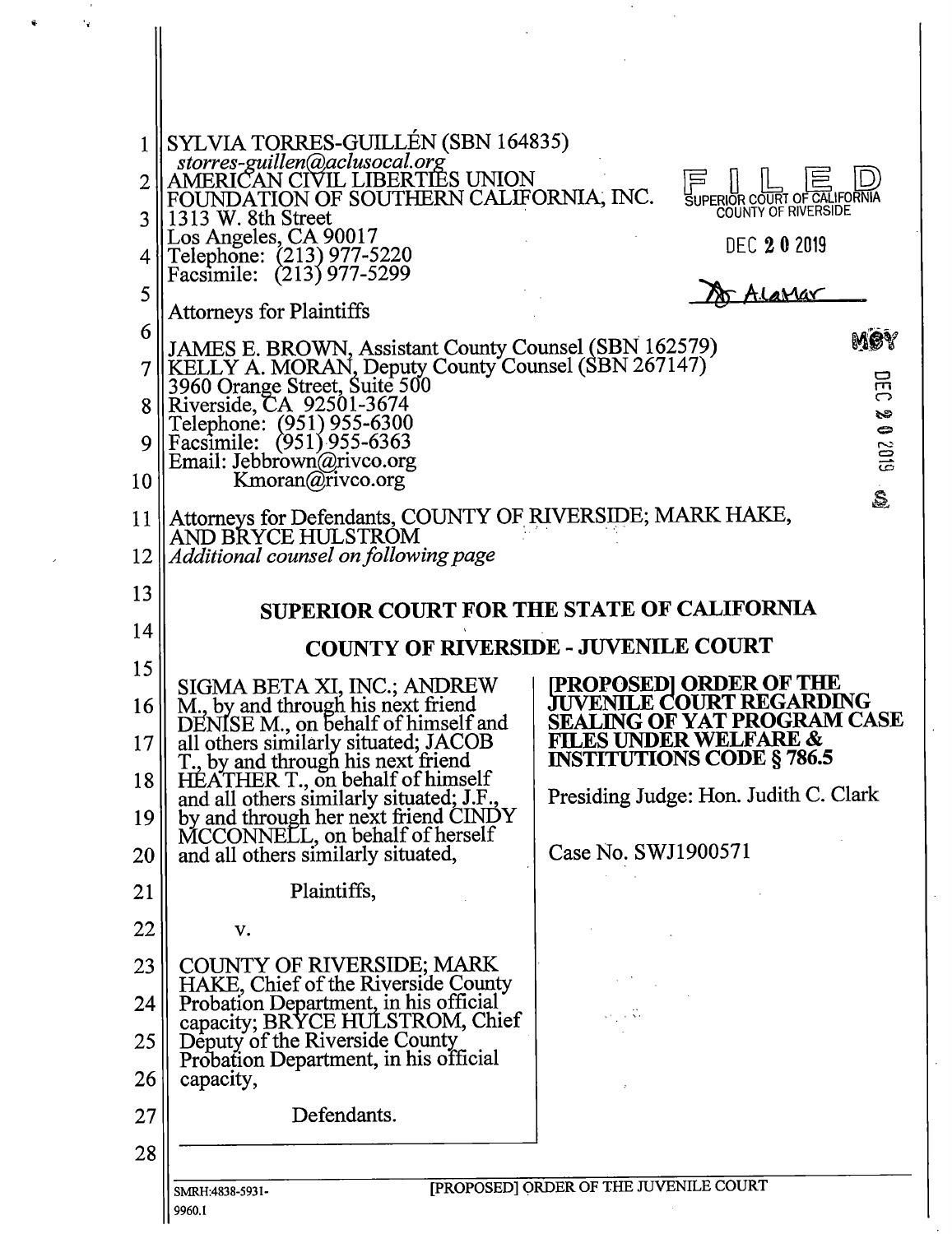|    | SYLVIA TORRES-GUILLÉN (SBN 164835)<br>storres-guillen@aclusocal.org                                                                          |                                                                       |  |
|----|----------------------------------------------------------------------------------------------------------------------------------------------|-----------------------------------------------------------------------|--|
|    | AMERICAN CIVIL LIBERTIES UNION                                                                                                               |                                                                       |  |
|    | UNDATION OF SOUTHERN CALIFORNIA, INC.<br>1313 W. 8th Street                                                                                  | SUPERIOR COURT OF CALIFORNIA<br>COUNTY OF RIVERSIDE                   |  |
|    | Los Angeles, CA 90017<br>Telephone: (213) 977-5220                                                                                           | <b>DEC 202019</b>                                                     |  |
| 5  | Facsimile: (213) 977-5299                                                                                                                    | <u>IlaMar</u>                                                         |  |
| 6  | <b>Attorneys for Plaintiffs</b>                                                                                                              | Møy                                                                   |  |
|    | JAMES E. BROWN, Assistant County Counsel (SBN 162579)<br>KELLY A. MORAN, Deputy County Counsel (SBN 267147)<br>3960 Orange Street, Suite 500 | 叧                                                                     |  |
| 8  | Riverside, CA 92501-3674<br>Telephone: (951) 955-6300                                                                                        | ౧<br>సి                                                               |  |
|    | Facsimile: (951) 955-6363<br>Email: Jebbrown@rivco.org                                                                                       | $\Rightarrow$<br>6102                                                 |  |
| 10 | Kmoran@rivco.org                                                                                                                             | S.                                                                    |  |
| 11 | Attorneys for Defendants, COUNTY OF RIVERSIDE; MARK HAKE,<br>AND BRYCE HULSTROM                                                              |                                                                       |  |
| 12 | Additional counsel on following page                                                                                                         |                                                                       |  |
| 13 | SUPERIOR COURT FOR THE STATE OF CALIFORNIA                                                                                                   |                                                                       |  |
| 14 | <b>COUNTY OF RIVERSIDE - JUVENILE COURT</b>                                                                                                  |                                                                       |  |
| 15 |                                                                                                                                              | [PROPOSED] ORDER OF THE                                               |  |
| 16 | SIGMA BETA XI, INC.; ANDREW<br>M., by and through his next friend<br>DENISE M., on behalf of himself and                                     | <b>JUVENILE COURT REGARDING</b><br><b>SEALING OF YAT PROGRAM CASE</b> |  |
| 17 | all others similarly situated; JACOB<br>T., by and through his next friend                                                                   | <b>FILES UNDER WELFARE &amp;</b><br><b>INSTITUTIONS CODE § 786.5</b>  |  |
| 18 | HÉATHER T., on behalf of himself<br>and all others similarly situated; J.F.,                                                                 | Presiding Judge: Hon. Judith C. Clark                                 |  |
| 19 | by and through her next friend CINDY<br>MCCONNELL, on behalf of herself                                                                      |                                                                       |  |
| 20 | and all others similarly situated,                                                                                                           | Case No. SWJ1900571                                                   |  |
| 21 | Plaintiffs,                                                                                                                                  |                                                                       |  |
| 22 | v.                                                                                                                                           |                                                                       |  |
| 23 | <b>COUNTY OF RIVERSIDE; MARK</b><br>HAKE, Chief of the Riverside County                                                                      |                                                                       |  |
| 24 | Probation Department, in his official<br>capacity; BRYCE HULSTROM, Chief                                                                     |                                                                       |  |
| 25 | Deputy of the Riverside County<br>Probation Department, in his official                                                                      |                                                                       |  |
| 26 | capacity,                                                                                                                                    |                                                                       |  |
| 27 | Defendants.                                                                                                                                  |                                                                       |  |
| 28 |                                                                                                                                              |                                                                       |  |
|    | [PROPOSED] ORDER OF THE JUVENILE COURT<br>SMRH:4838-5931-<br>9960.1                                                                          |                                                                       |  |

١.

 $\ddot{\phantom{0}}$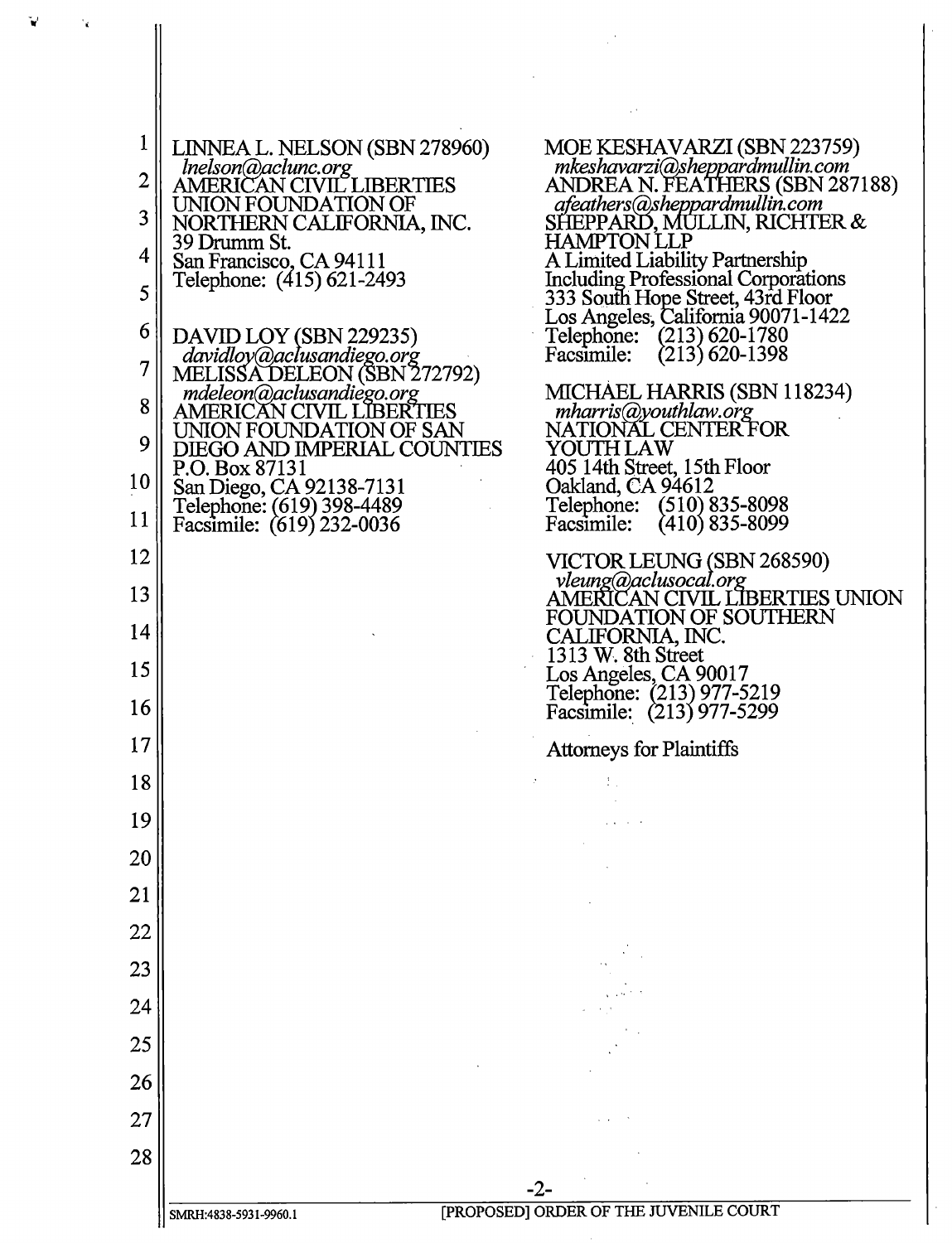| 1           | LINNEA L. NELSON (SBN 278960)                                                      | MOE KESHAVARZI (SBN 223759)                                             |  |
|-------------|------------------------------------------------------------------------------------|-------------------------------------------------------------------------|--|
| $\mathbf 2$ | Inelson@aclunc.org<br>AMERICAN CIVIL LIBERTIES                                     | mkeshavarzi@sheppardmullin.com<br>ANDREA N. FEATHERS (SBN 287188)       |  |
| 3           | UNION FOUNDATION OF<br>NORTHERN CALIFORNIA, INC.                                   | afeathers@sheppardmullin.com<br>SHEPPARD, MULLIN, RICHTER &             |  |
| 4           | 39 Drumm St.                                                                       | <b>HAMPTON LLP</b>                                                      |  |
| 5           | San Francisco, CA 94111<br>Telephone: (415) 621-2493                               | A Limited Liability Partnership<br>Including Professional Corporations  |  |
|             |                                                                                    | 333 South Hope Street, 43rd Floor<br>Los Angeles, California 90071-1422 |  |
| 6<br>7      | DAVID LOY (SBN 229235)<br>davidloy@aclusandiego.org<br>MELISSA DELEON (SBN 272792) | Telephone: (213) 620-1780<br>$(213)$ 620-1398<br>Facsimile:             |  |
|             | mdeleon@aclusandiego.org                                                           | MICHAEL HARRIS (SBN 118234)                                             |  |
| 8           | <b>AMERICAN CIVIL LIBERTIES</b><br>UNION FOUNDATION OF SAN                         | mharris@youthlaw.org<br>NATIONAL CENTERFOR                              |  |
| 9           | DIEGO AND IMPERIAL COUNTIES<br>P.O. Box 87131                                      | YOUTH LAW<br>405 14th Street, 15th Floor                                |  |
| 10          | San Diego, CA 92138-7131<br>Telephone: (619) 398-4489                              | Oakland, CA 94612<br>Telephone: (510) 835-8098                          |  |
| 11          | Facsimile: (619) 232-0036                                                          | $(410)$ 835-8099<br>Facsimile:                                          |  |
| 12          |                                                                                    | VICTOR LEUNG (SBN 268590)<br>vleung@aclusocal.org                       |  |
| 13          |                                                                                    | AMERICAN CIVIL LIBERTIES UNION<br><b>FOUNDATION OF SOUTHERN</b>         |  |
| 14          |                                                                                    | CALIFORNIA, INC.<br>1313 W. 8th Street                                  |  |
| 15          |                                                                                    | Los Angeles, CA 90017<br>Telephone: (213) 977-5219                      |  |
| 16          |                                                                                    | Facsimile: (213) 977-5299                                               |  |
| 17          |                                                                                    | <b>Attorneys for Plaintiffs</b>                                         |  |
| 18          |                                                                                    |                                                                         |  |
| 19          |                                                                                    |                                                                         |  |
| 20          |                                                                                    |                                                                         |  |
| 21          |                                                                                    |                                                                         |  |
| 22          |                                                                                    |                                                                         |  |
| 23          |                                                                                    |                                                                         |  |
| 24          |                                                                                    |                                                                         |  |
| 25          |                                                                                    |                                                                         |  |
| 26          |                                                                                    |                                                                         |  |
| 27          |                                                                                    |                                                                         |  |
| 28          |                                                                                    |                                                                         |  |
|             |                                                                                    | -2-                                                                     |  |
|             | [PROPOSED] ORDER OF THE JUVENILE COURT<br>SMRH:4838-5931-9960.1                    |                                                                         |  |

 $\sim 10$ 

 $\mathbf{v}^{\prime}$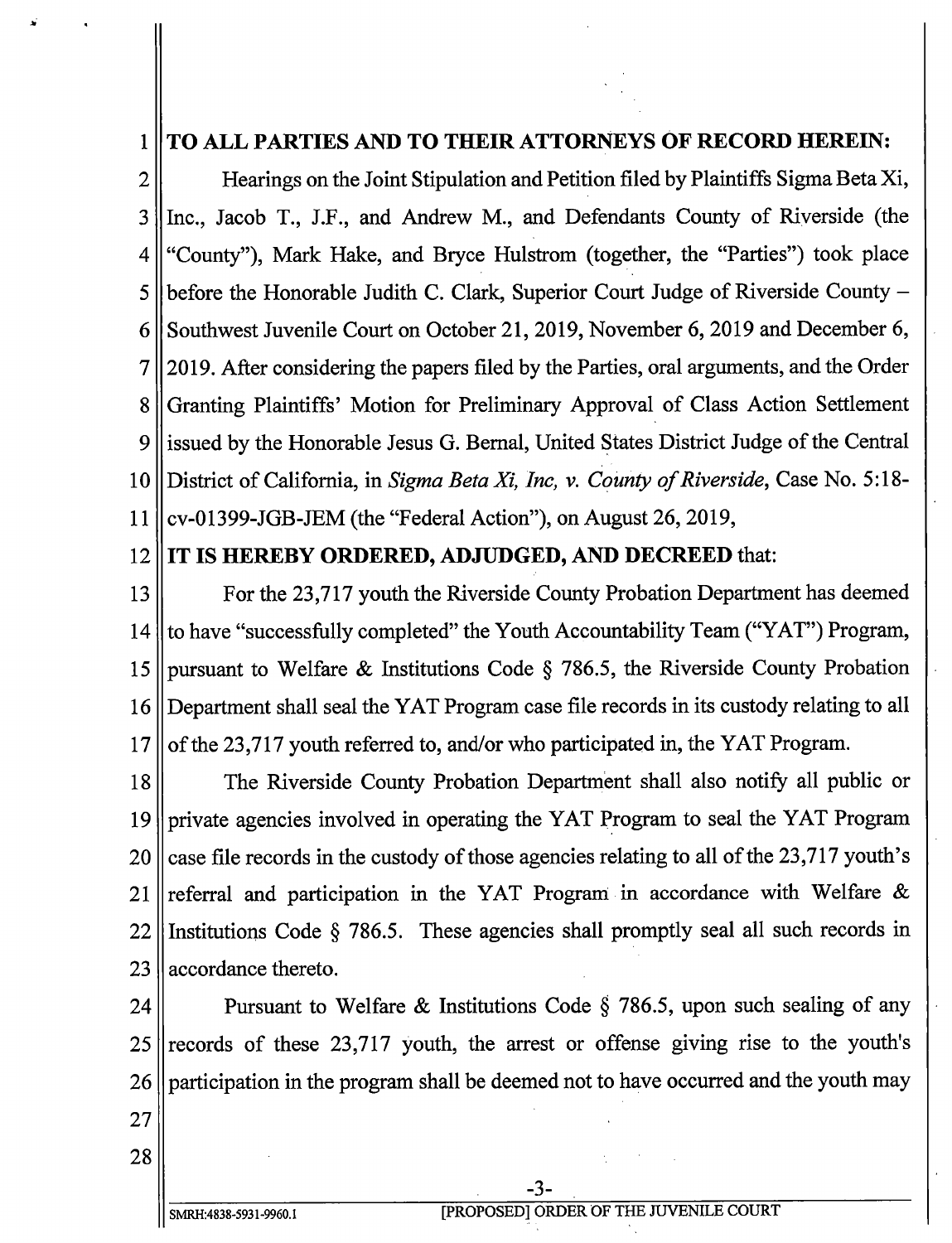## 1 TO ALL PARTIES AND TO THEIR ATTORNEYS OF RECORD HEREIN:

2 Hearings on the Joint Stipulation and Petition filed by Plaintiffs Sigma Beta Xi, <sup>3</sup> Inc., Jacob T., J.F., and Andrew M., and Defendants County of Riverside ( the 4 " County"), Mark Hake, and Bryce Hulstrom (together, the "Parties") took place 5 || before the Honorable Judith C. Clark, Superior Court Judge of Riverside County  $-$ 6 || Southwest Juvenile Court on October 21, 2019, November 6, 2019 and December 6, 7 2019. After considering the papers filed by the Parties, oral arguments, and the Order 8 Granting Plaintiffs' Motion for Preliminary Approval of Class Action Settlement <sup>9</sup> issued by the Honorable Jesus G. Bernal, United States District Judge of the Central 10 || District of California, in Sigma Beta Xi, Inc, v. County of Riverside, Case No. 5:18-11  $\vert$  cv-01399-JGB-JEM (the "Federal Action"), on August 26, 2019,

## 12 IT IS HEREBY ORDERED, ADJUDGED, AND DECREED that:

13 For the 23,717 youth the Riverside County Probation Department has deemed 14 to have "successfully completed" the Youth Accountability Team ("YAT") Program, 15 pursuant to Welfare & Institutions Code § 786.5, the Riverside County Probation <sup>16</sup> Department shall seal the YAT Program case file records in its custody relating to all  $17$  || of the 23,717 youth referred to, and/ or who participated in, the YAT Program.

18 The Riverside County Probation Department shall also notify all public or <sup>19</sup> private agencies involved in operating the YAT Program to seal the YAT Program 20 case file records in the custody of those agencies relating to all of the  $23,717$  youth's 21 referral and participation in the YAT Program in accordance with Welfare  $\&$  $22$  Institutions Code § 786.5. These agencies shall promptly seal all such records in  $23$  | accordance thereto.

24 Pursuant to Welfare & Institutions Code § 786.5, upon such sealing of any  $25$  records of these 23,717 youth, the arrest or offense giving rise to the youth's 26 participation in the program shall be deemed not to have occurred and the youth may

3-

27